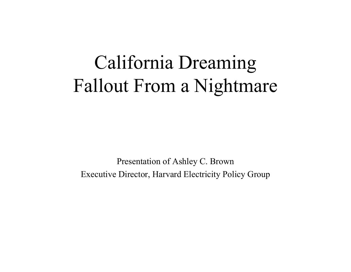# California Dreaming Fallout From a Nightmare

Present ation of Ashley C. Brown Executive Director, Harvard Electri city Policy Group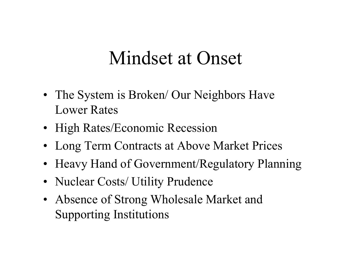#### Mindset at Onset

- The System is Broken/ Our Neighbors Have Lower Rates
- High Rates/Economic Recession
- Long Term Contracts at Above Market Prices
- Heavy Hand of Government/Regulatory Planning
- Nuclear Costs/ Utility Prudence
- Absence of Strong Wholesale Market and Supporting Institutions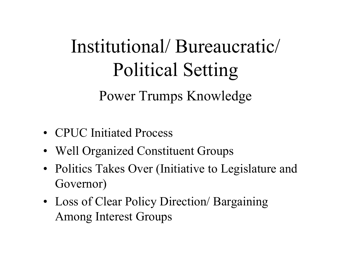# Institutional/ Bureaucratic/ Political Setting

Power Trumps Knowledge

- CPUC Initiated Process
- Well Organized Constituent Groups
- Politics Takes Over (Initiative to Legislature and Governor)
- Loss of Clear Policy Direction/ Bargaining Among Interest Groups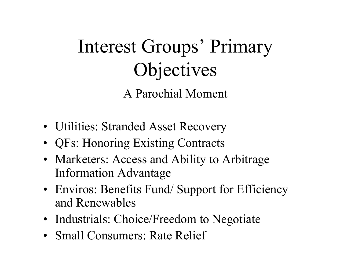# Interest Groups' Primary Objectives

A Parochial Moment

- Utilities: Stranded Asset Recovery
- QFs: Honoring Existing Contracts
- Marketers: Access and Ability to Arbitrage Information Advantage
- Enviros: Benefits Fund/Support for Efficiency and Renewables
- Industrials: Choice/Freedom to Negotiate
- Small Consumers: Rate Relief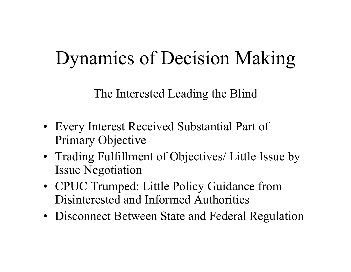# Dynamics of Decision Making

The Interested Leading the Blind

- Every Interest Received Substantial Part of Primary Objective
- Trading Fulfillment of Objectives/ Little Issue by Issue Negotiation
- CPUC Trumped: Little Policy Guidance from Disinterested and Informed Authorities
- Disconnect Between State and Federal Regulation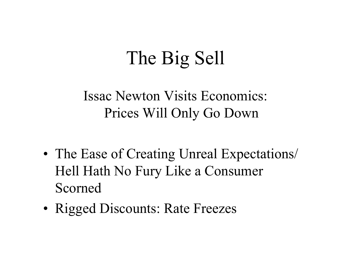# The Big Sell

Issac Newton Visits Economics: Prices Will Only Go Down

- •• The Ease of Creating Unreal Expectations/ Hell Hath No Fury Like a Consumer Scorned
- •• Rigged Discounts: Rate Freezes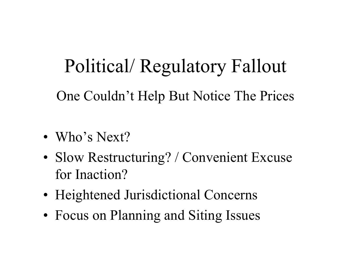#### Political/ Regulatory Fallout

One Couldn't Help But Notice The Prices

- Who's Next?
- •• Slow Restructuring? / Convenient Excuse for Inaction?
- •Heightened Jurisdictional Concerns
- •Focus on Planning and Siting Issues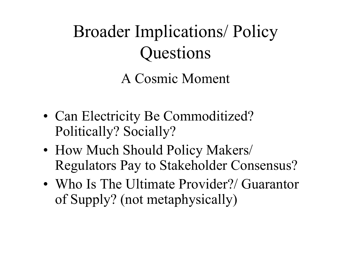#### Broader Implications/ Policy Questions A Cosmic Moment

- •• Can Electricity Be Commoditized? Politically? Socially?
- • How Much Should Policy Makers/ Regulators Pay to Stakeholder Consensus?
- Who Is The Ultimate Provider?/ Guarantor of Supply? (not metaphysically)